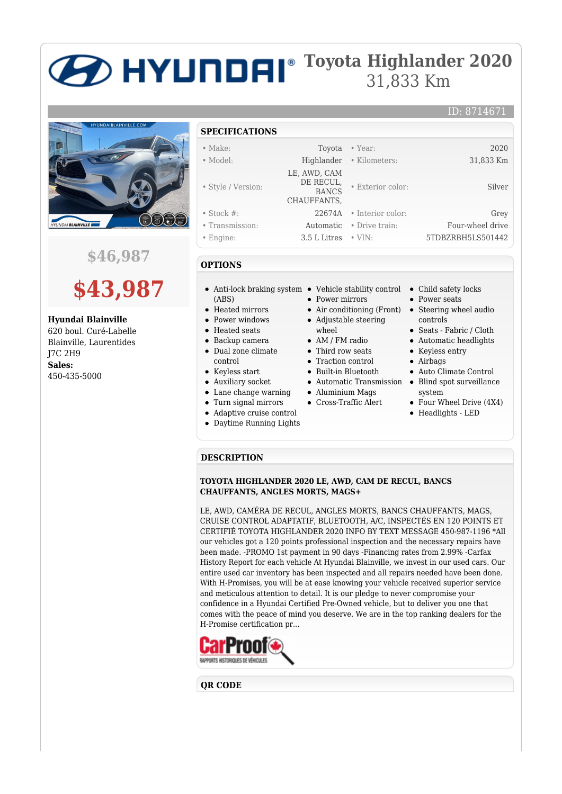# **Toyota Highlander 2020** 31,833 Km



**\$46,987**



**Hyundai Blainville** 620 boul. Curé-Labelle Blainville, Laurentides

J7C 2H9 **Sales:** 450-435-5000

## **SPECIFICATIONS**

| $\bullet$ Make:    |                           | Toyota • Year:           | 2020              |
|--------------------|---------------------------|--------------------------|-------------------|
| • Model:           |                           | Highlander • Kilometers: | 31,833 Km         |
|                    | LE, AWD, CAM              |                          |                   |
| • Style / Version: | DE RECUL,<br><b>BANCS</b> | • Exterior color:        | Silver            |
|                    | CHAUFFANTS,               |                          |                   |
| $\bullet$ Stock #: |                           | 22674A • Interior color: | Grey              |
| • Transmission:    | Automatic                 | • Drive train:           | Four-wheel drive  |
| $\bullet$ Engine:  | 3.5 L Litres              | $\cdot$ VIN:             | 5TDBZRBH5LS501442 |

## **OPTIONS**

- Anti-lock braking system Vehicle stability control Child safety locks (ABS)
- Heated mirrors
- Power windows
- Heated seats
- Backup camera Dual zone climate control
- Keyless start
- Auxiliary socket
- Lane change warning
- Turn signal mirrors
- Adaptive cruise control
- Daytime Running Lights
- 
- 
- **Power mirrors**
- 
- Adjustable steering
- wheel • AM / FM radio
- Third row seats
- **Traction control**
- Built-in Bluetooth
- 
- Aluminium Mags
- Cross-Traffic Alert
	-
- 
- Power seats
- Air conditioning (Front) Steering wheel audio controls

ID: 8714671

- Seats Fabric / Cloth
- Automatic headlights
- Keyless entry
- Airbags
- Auto Climate Control
- Automatic Transmission Blind spot surveillance system
	- Four Wheel Drive (4X4)
	- Headlights LED

#### **DESCRIPTION**

### **TOYOTA HIGHLANDER 2020 LE, AWD, CAM DE RECUL, BANCS CHAUFFANTS, ANGLES MORTS, MAGS+**

LE, AWD, CAMÉRA DE RECUL, ANGLES MORTS, BANCS CHAUFFANTS, MAGS, CRUISE CONTROL ADAPTATIF, BLUETOOTH, A/C, INSPECTÉS EN 120 POINTS ET CERTIFIÉ TOYOTA HIGHLANDER 2020 INFO BY TEXT MESSAGE 450-987-1196 \*All our vehicles got a 120 points professional inspection and the necessary repairs have been made. -PROMO 1st payment in 90 days -Financing rates from 2.99% -Carfax History Report for each vehicle At Hyundai Blainville, we invest in our used cars. Our entire used car inventory has been inspected and all repairs needed have been done. With H-Promises, you will be at ease knowing your vehicle received superior service and meticulous attention to detail. It is our pledge to never compromise your confidence in a Hyundai Certified Pre-Owned vehicle, but to deliver you one that comes with the peace of mind you deserve. We are in the top ranking dealers for the H-Promise certification pr...



## **QR CODE**